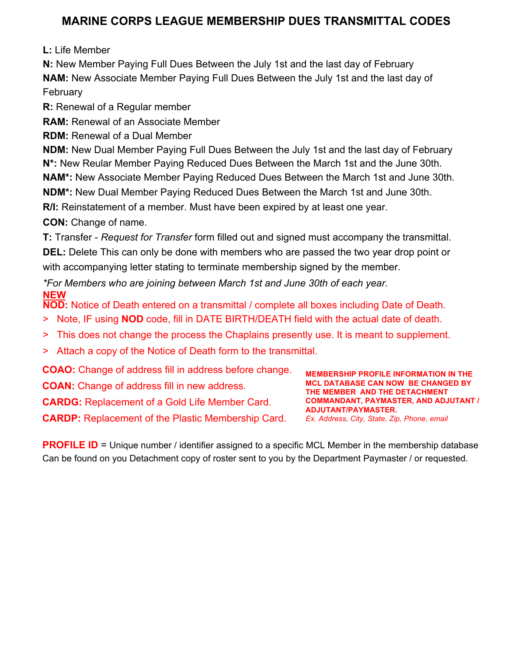## **MARINE CORPS LEAGUE MEMBERSHIP DUES TRANSMITTAL CODES**

**L:** Life Member

**N:** New Member Paying Full Dues Between the July 1st and the last day of February **NAM:** New Associate Member Paying Full Dues Between the July 1st and the last day of February

**R:** Renewal of a Regular member

**RAM:** Renewal of an Associate Member

**RDM:** Renewal of a Dual Member

**NDM:** New Dual Member Paying Full Dues Between the July 1st and the last day of February

**N\*:** New Reular Member Paying Reduced Dues Between the March 1st and the June 30th.

**NAM\*:** New Associate Member Paying Reduced Dues Between the March 1st and June 30th.

**NDM\*:** New Dual Member Paying Reduced Dues Between the March 1st and June 30th.

**R/I:** Reinstatement of a member. Must have been expired by at least one year.

**CON:** Change of name.

**T:** Transfer - *Request for Transfer* form filled out and signed must accompany the transmittal. **DEL:** Delete This can only be done with members who are passed the two year drop point or with accompanying letter stating to terminate membership signed by the member.

*\*For Members who are joining between March 1st and June 30th of each year.* **NEW**

**NOD:** Notice of Death entered on a transmittal / complete all boxes including Date of Death.

- > Note, IF using **NOD** code, fill in DATE BIRTH/DEATH field with the actual date of death.
- > This does not change the process the Chaplains presently use. It is meant to supplement.
- > Attach a copy of the Notice of Death form to the transmittal.

**COAO:** Change of address fill in address before change. **COAN:** Change of address fill in new address. **CARDG:** Replacement of a Gold Life Member Card. **CARDP:** Replacement of the Plastic Membership Card.

**MEMBERSHIP PROFILE INFORMATION IN THE MCL DATABASE CAN NOW BE CHANGED BY THE MEMBER AND THE DETACHMENT COMMANDANT, PAYMASTER, AND ADJUTANT / ADJUTANT/PAYMASTER.** *Ex. Address, City, State, Zip, Phone, email*

**PROFILE ID** = Unique number / identifier assigned to a specific MCL Member in the membership database Can be found on you Detachment copy of roster sent to you by the Department Paymaster / or requested.